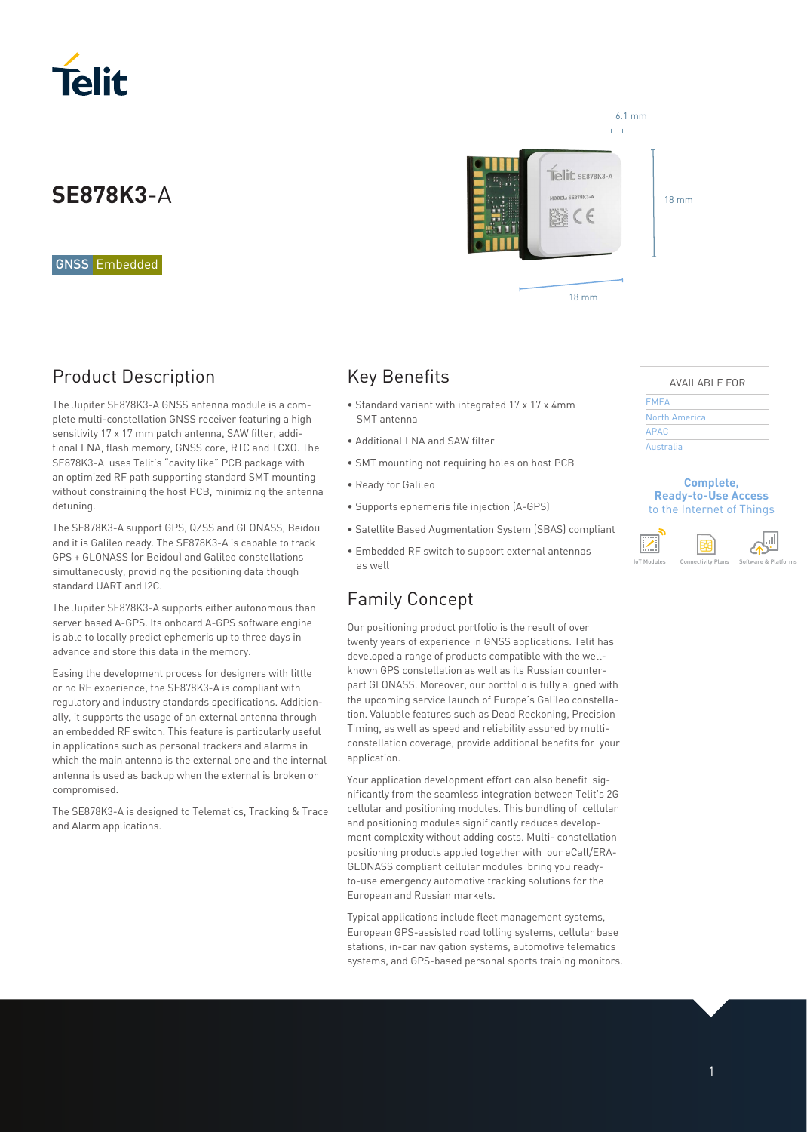

## **SE878K3**-A

GNSS Embedded

### Product Description

The Jupiter SE878K3-A GNSS antenna module is a complete multi-constellation GNSS receiver featuring a high sensitivity 17 x 17 mm patch antenna, SAW filter, additional LNA, flash memory, GNSS core, RTC and TCXO. The SE878K3-A uses Telit's "cavity like" PCB package with an optimized RF path supporting standard SMT mounting without constraining the host PCB, minimizing the antenna detuning.

The SE878K3-A support GPS, QZSS and GLONASS, Beidou and it is Galileo ready. The SE878K3-A is capable to track GPS + GLONASS (or Beidou) and Galileo constellations simultaneously, providing the positioning data though standard UART and I2C.

The Jupiter SE878K3-A supports either autonomous than server based A-GPS. Its onboard A-GPS software engine is able to locally predict ephemeris up to three days in advance and store this data in the memory.

Easing the development process for designers with little or no RF experience, the SE878K3-A is compliant with regulatory and industry standards specifications. Additionally, it supports the usage of an external antenna through an embedded RF switch. This feature is particularly useful in applications such as personal trackers and alarms in which the main antenna is the external one and the internal antenna is used as backup when the external is broken or compromised.

The SE878K3-A is designed to Telematics, Tracking & Trace and Alarm applications.



18 mm

### Key Benefits

- Standard variant with integrated 17 x 17 x 4mm SMT antenna
- Additional LNA and SAW filter
- SMT mounting not requiring holes on host PCB
- Ready for Galileo
- Supports ephemeris file injection (A-GPS)
- Satellite Based Augmentation System (SBAS) compliant
- Embedded RF switch to support external antennas as well

### Family Concept

Our positioning product portfolio is the result of over twenty years of experience in GNSS applications. Telit has developed a range of products compatible with the wellknown GPS constellation as well as its Russian counterpart GLONASS. Moreover, our portfolio is fully aligned with the upcoming service launch of Europe's Galileo constellation. Valuable features such as Dead Reckoning, Precision Timing, as well as speed and reliability assured by multiconstellation coverage, provide additional benefits for your application.

Your application development effort can also benefit significantly from the seamless integration between Telit's 2G cellular and positioning modules. This bundling of cellular and positioning modules significantly reduces development complexity without adding costs. Multi- constellation positioning products applied together with our eCall/ERA-GLONASS compliant cellular modules bring you readyto-use emergency automotive tracking solutions for the European and Russian markets.

Typical applications include fleet management systems, European GPS-assisted road tolling systems, cellular base stations, in-car navigation systems, automotive telematics systems, and GPS-based personal sports training monitors.

#### AVAILABLE FOR

| <b>EMEA</b>   |  |
|---------------|--|
| North America |  |
| <b>APAC</b>   |  |
| Australia     |  |
|               |  |

#### **Complete, Ready-to-Use Access**  to the Internet of Things